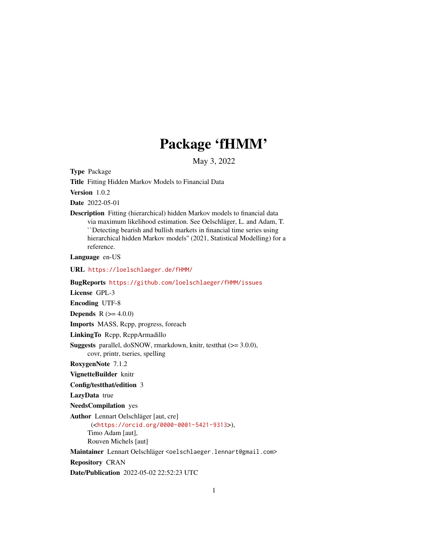# Package 'fHMM'

May 3, 2022

<span id="page-0-0"></span>Type Package

Title Fitting Hidden Markov Models to Financial Data

Version 1.0.2

Date 2022-05-01

Description Fitting (hierarchical) hidden Markov models to financial data via maximum likelihood estimation. See Oelschläger, L. and Adam, T. ``Detecting bearish and bullish markets in financial time series using hierarchical hidden Markov models'' (2021, Statistical Modelling) for a reference.

Language en-US

URL <https://loelschlaeger.de/fHMM/>

BugReports <https://github.com/loelschlaeger/fHMM/issues>

License GPL-3

Encoding UTF-8

**Depends** R  $(>= 4.0.0)$ 

Imports MASS, Rcpp, progress, foreach

LinkingTo Rcpp, RcppArmadillo

Suggests parallel, doSNOW, rmarkdown, knitr, testthat (>= 3.0.0), covr, printr, tseries, spelling

RoxygenNote 7.1.2

VignetteBuilder knitr

Config/testthat/edition 3

LazyData true

NeedsCompilation yes

Author Lennart Oelschläger [aut, cre] (<<https://orcid.org/0000-0001-5421-9313>>), Timo Adam [aut], Rouven Michels [aut]

Maintainer Lennart Oelschläger <oelschlaeger.lennart@gmail.com>

Repository CRAN

Date/Publication 2022-05-02 22:52:23 UTC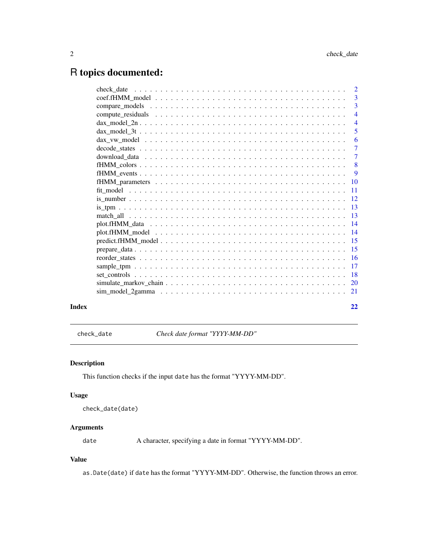# <span id="page-1-0"></span>R topics documented:

|       |                      | $\overline{3}$ |
|-------|----------------------|----------------|
|       |                      | $\overline{3}$ |
|       |                      | $\overline{4}$ |
|       | $\text{dax_model_2n$ | $\overline{4}$ |
|       |                      | 5              |
|       |                      | 6              |
|       |                      | $\overline{7}$ |
|       |                      | $\overline{7}$ |
|       |                      | -8             |
|       |                      | $\overline{9}$ |
|       |                      |                |
|       |                      |                |
|       |                      |                |
|       |                      |                |
|       |                      |                |
|       |                      |                |
|       |                      |                |
|       |                      |                |
|       |                      |                |
|       |                      |                |
|       |                      |                |
|       |                      |                |
|       |                      |                |
|       |                      |                |
|       |                      |                |
| Index |                      | 22             |

check\_date *Check date format "YYYY-MM-DD"*

# Description

This function checks if the input date has the format "YYYY-MM-DD".

# Usage

```
check_date(date)
```
# Arguments

date A character, specifying a date in format "YYYY-MM-DD".

# Value

as.Date(date) if date has the format "YYYY-MM-DD". Otherwise, the function throws an error.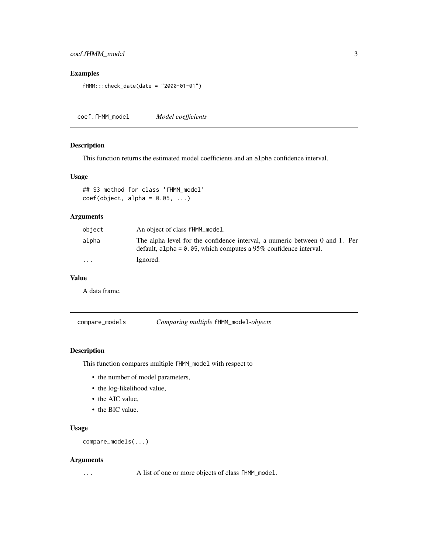# <span id="page-2-0"></span>coef.fHMM\_model 3

# Examples

```
fHMM:::check_date(date = "2000-01-01")
```
coef.fHMM\_model *Model coefficients*

# Description

This function returns the estimated model coefficients and an alpha confidence interval.

# Usage

## S3 method for class 'fHMM\_model'  $coef(object, alpha = 0.05, ...)$ 

# Arguments

| object  | An object of class fHMM_model.                                                                                                                     |
|---------|----------------------------------------------------------------------------------------------------------------------------------------------------|
| alpha   | The alpha level for the confidence interval, a numeric between 0 and 1. Per<br>default, alpha = $0.05$ , which computes a 95% confidence interval. |
| $\cdot$ | Ignored.                                                                                                                                           |

# Value

A data frame.

compare\_models *Comparing multiple* fHMM\_model*-objects*

# Description

This function compares multiple fHMM\_model with respect to

- the number of model parameters,
- the log-likelihood value,
- the AIC value,
- the BIC value.

# Usage

compare\_models(...)

# Arguments

... A list of one or more objects of class fHMM\_model.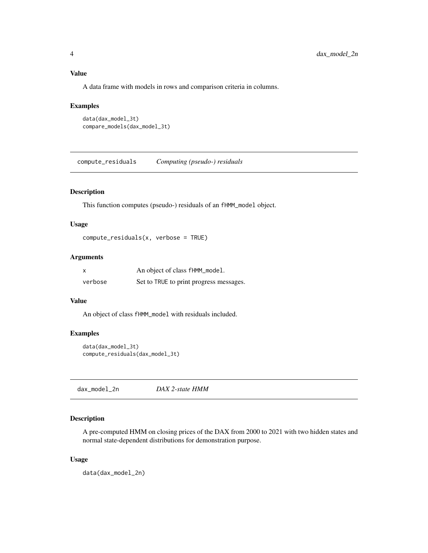<span id="page-3-0"></span>A data frame with models in rows and comparison criteria in columns.

#### Examples

```
data(dax_model_3t)
compare_models(dax_model_3t)
```
compute\_residuals *Computing (pseudo-) residuals*

# Description

This function computes (pseudo-) residuals of an fHMM\_model object.

#### Usage

```
compute_residuals(x, verbose = TRUE)
```
# Arguments

| X       | An object of class fHMM_model.          |
|---------|-----------------------------------------|
| verbose | Set to TRUE to print progress messages. |

# Value

An object of class fHMM\_model with residuals included.

# Examples

```
data(dax_model_3t)
compute_residuals(dax_model_3t)
```
dax\_model\_2n *DAX 2-state HMM*

# Description

A pre-computed HMM on closing prices of the DAX from 2000 to 2021 with two hidden states and normal state-dependent distributions for demonstration purpose.

# Usage

data(dax\_model\_2n)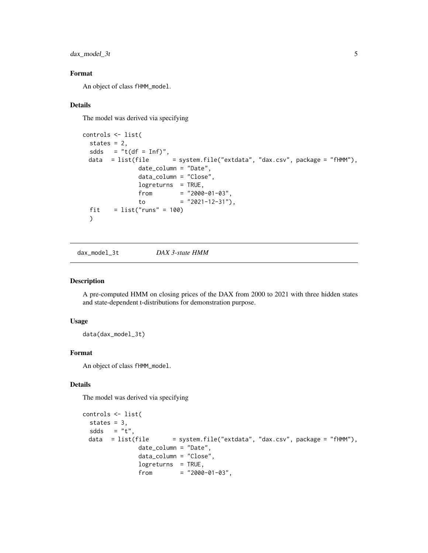<span id="page-4-0"></span> $dax_model_3t$  5

# Format

An object of class fHMM\_model.

# Details

The model was derived via specifying

```
controls <- list(
  states = 2,
  sdds = "t(df = Inf)",
 data = list(file = system.file("extdata", "dax.csv", package = "fHMM"),
               date_column = "Date",
               data_column = "Close",
               logreturns = TRUE,
               from = "2000-01-03",
               to = "2021-12-31"),
  fit = list("runs" = 100)\mathcal{L}
```
dax\_model\_3t *DAX 3-state HMM*

# Description

A pre-computed HMM on closing prices of the DAX from 2000 to 2021 with three hidden states and state-dependent t-distributions for demonstration purpose.

# Usage

data(dax\_model\_3t)

# Format

An object of class fHMM\_model.

# Details

The model was derived via specifying

```
controls <- list(
 states = 3,
 sdds = "t",<br>data = list(file
                           = system.file ("extdata", "dax.csv", package = "fHMM"),
                date_column = "Date",
                data_column = "Close",
                logreturns = TRUE,
                from = "2000-01-03",
```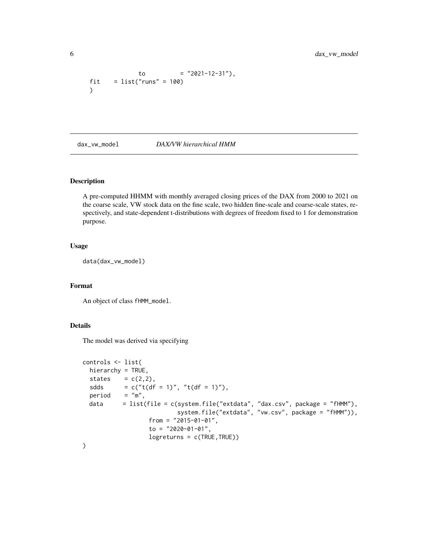```
to = "2021-12-31"),
fit = list("runs" = 100))
```
dax\_vw\_model *DAX/VW hierarchical HMM*

# Description

A pre-computed HHMM with monthly averaged closing prices of the DAX from 2000 to 2021 on the coarse scale, VW stock data on the fine scale, two hidden fine-scale and coarse-scale states, respectively, and state-dependent t-distributions with degrees of freedom fixed to 1 for demonstration purpose.

# Usage

data(dax\_vw\_model)

# Format

An object of class fHMM\_model.

# Details

The model was derived via specifying

```
controls <- list(
 hierarchy = TRUE,
 states = c(2,2),
 sdds = c("t(df = 1)", "t(df = 1)"),
 period = 'm'',
 data = list(file = c(system.file("extdata", "dax.csv", package = "fHMM"),system.file("extdata", "vw.csv", package = "fHMM")),
                  from = "2015-01-01",
                  to = "2020-01-01",
                  logreturns = c(TRUE,TRUE))
)
```
<span id="page-5-0"></span>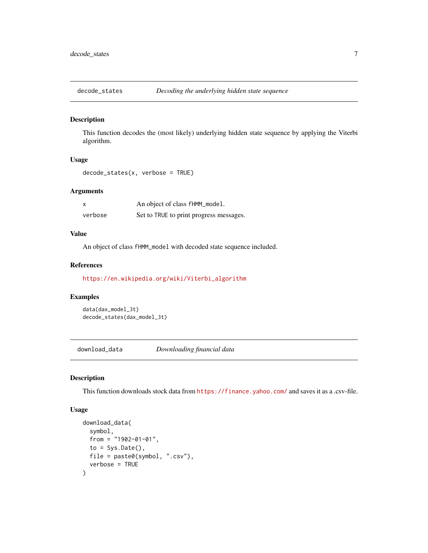<span id="page-6-0"></span>

This function decodes the (most likely) underlying hidden state sequence by applying the Viterbi algorithm.

# Usage

decode\_states(x, verbose = TRUE)

# Arguments

| <b>X</b> | An object of class fHMM_model.          |
|----------|-----------------------------------------|
| verbose  | Set to TRUE to print progress messages. |

# Value

An object of class fHMM\_model with decoded state sequence included.

# References

[https://en.wikipedia.org/wiki/Viterbi\\_algorithm](https://en.wikipedia.org/wiki/Viterbi_algorithm)

# Examples

```
data(dax_model_3t)
decode_states(dax_model_3t)
```
download\_data *Downloading financial data*

#### Description

This function downloads stock data from <https://finance.yahoo.com/> and saves it as a .csv-file.

# Usage

```
download_data(
  symbol,
  from = "1902-01-01",
 to = Sys.Date(),
 file = paste0(symbol, ".csv"),
  verbose = TRUE
)
```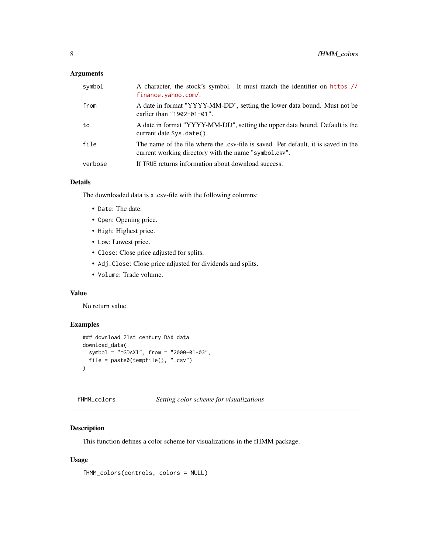# <span id="page-7-0"></span>Arguments

| symbol  | A character, the stock's symbol. It must match the identifier on https://<br>finance.yahoo.com/.                                            |
|---------|---------------------------------------------------------------------------------------------------------------------------------------------|
| from    | A date in format "YYYY-MM-DD", setting the lower data bound. Must not be<br>earlier than $"1902-01-01"$ .                                   |
| to      | A date in format "YYYY-MM-DD", setting the upper data bound. Default is the<br>current date Sys.date().                                     |
| file    | The name of the file where the .csv-file is saved. Per default, it is saved in the<br>current working directory with the name "symbol.csv". |
| verbose | If TRUE returns information about download success.                                                                                         |

# Details

The downloaded data is a .csv-file with the following columns:

- Date: The date.
- Open: Opening price.
- High: Highest price.
- Low: Lowest price.
- Close: Close price adjusted for splits.
- Adj.Close: Close price adjusted for dividends and splits.
- Volume: Trade volume.

# Value

No return value.

# Examples

```
### download 21st century DAX data
download_data(
  symbol = "^GDAXI", from = "2000-01-03",
  file = paste0(tempfile(), ".csv")
\mathcal{L}
```
fHMM\_colors *Setting color scheme for visualizations*

# Description

This function defines a color scheme for visualizations in the fHMM package.

# Usage

```
fHMM_colors(controls, colors = NULL)
```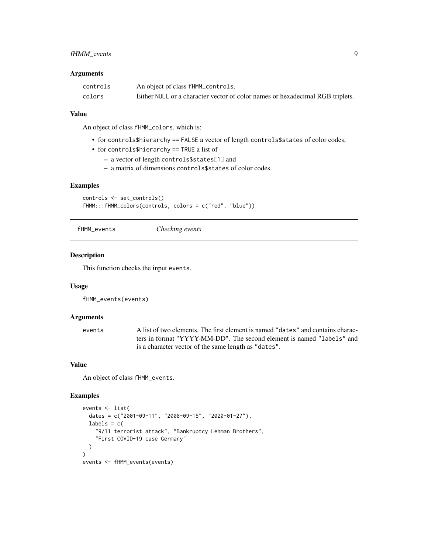# <span id="page-8-0"></span>fHMM\_events 9

#### **Arguments**

| controls | An object of class fHMM_controls.                                             |
|----------|-------------------------------------------------------------------------------|
| colors   | Either NULL or a character vector of color names or hexadecimal RGB triplets. |

# Value

An object of class fHMM\_colors, which is:

- for controls\$hierarchy == FALSE a vector of length controls\$states of color codes,
- for controls\$hierarchy == TRUE a list of
	- a vector of length controls\$states[1] and
	- a matrix of dimensions controls\$states of color codes.

#### Examples

```
controls <- set_controls()
fHMM:::fHMM_colors(controls, colors = c("red", "blue"))
```
fHMM\_events *Checking events*

# Description

This function checks the input events.

# Usage

```
fHMM_events(events)
```
# Arguments

```
events A list of two elements. The first element is named "dates" and contains charac-
                 ters in format "YYYY-MM-DD". The second element is named "labels" and
                 is a character vector of the same length as "dates".
```
# Value

An object of class fHMM\_events.

# Examples

```
events <- list(
  dates = c("2001-09-11", "2008-09-15", "2020-01-27"),
  labels = c("9/11 terrorist attack", "Bankruptcy Lehman Brothers",
    "First COVID-19 case Germany"
  )
)
events <- fHMM_events(events)
```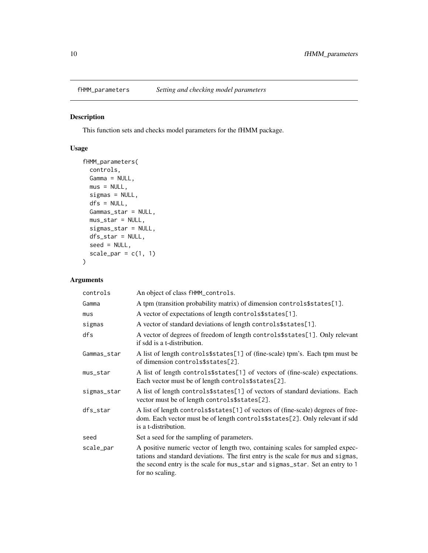<span id="page-9-0"></span>

This function sets and checks model parameters for the fHMM package.

# Usage

```
fHMM_parameters(
 controls,
 Gamma = NULL,
 mus = NULL,sigmas = NULL,
 dfs = NULL,Gammas_star = NULL,
 mus_star = NULL,
  sigmas_star = NULL,
 dfs_star = NULL,
  seed = NULL,
  scale_par = c(1, 1)\mathcal{E}
```
# Arguments

| controls    | An object of class fHMM_controls.                                                                                                                                                                                                                                      |
|-------------|------------------------------------------------------------------------------------------------------------------------------------------------------------------------------------------------------------------------------------------------------------------------|
| Gamma       | A tpm (transition probability matrix) of dimension controls\$states[1].                                                                                                                                                                                                |
| mus         | A vector of expectations of length controls\$states[1].                                                                                                                                                                                                                |
| sigmas      | A vector of standard deviations of length controls\$states[1].                                                                                                                                                                                                         |
| dfs         | A vector of degrees of freedom of length controls\$states[1]. Only relevant<br>if sdd is a t-distribution.                                                                                                                                                             |
| Gammas_star | A list of length controls\$states[1] of (fine-scale) tpm's. Each tpm must be<br>of dimension controls\$states[2].                                                                                                                                                      |
| mus_star    | A list of length controls\$states[1] of vectors of (fine-scale) expectations.<br>Each vector must be of length controls\$states[2].                                                                                                                                    |
| sigmas_star | A list of length controls\$states[1] of vectors of standard deviations. Each<br>vector must be of length controls\$states[2].                                                                                                                                          |
| dfs_star    | A list of length controls\$states[1] of vectors of (fine-scale) degrees of free-<br>dom. Each vector must be of length controls\$states[2]. Only relevant if sdd<br>is a t-distribution.                                                                               |
| seed        | Set a seed for the sampling of parameters.                                                                                                                                                                                                                             |
| scale_par   | A positive numeric vector of length two, containing scales for sampled expec-<br>tations and standard deviations. The first entry is the scale for mus and sigmas,<br>the second entry is the scale for mus_star and sigmas_star. Set an entry to 1<br>for no scaling. |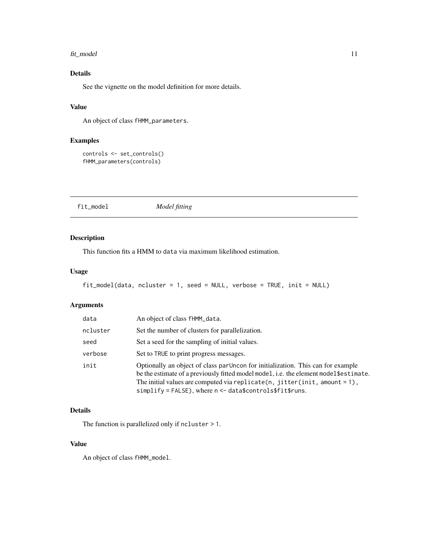#### <span id="page-10-0"></span>fit\_model 11

# Details

See the vignette on the model definition for more details.

# Value

An object of class fHMM\_parameters.

# Examples

```
controls <- set_controls()
fHMM_parameters(controls)
```
fit\_model *Model fitting*

# Description

This function fits a HMM to data via maximum likelihood estimation.

# Usage

```
fit_model(data, ncluster = 1, seed = NULL, verbose = TRUE, init = NULL)
```
# Arguments

| data     | An object of class fHMM_data.                                                                                                                                                                                                                                                                                                 |
|----------|-------------------------------------------------------------------------------------------------------------------------------------------------------------------------------------------------------------------------------------------------------------------------------------------------------------------------------|
| ncluster | Set the number of clusters for parallelization.                                                                                                                                                                                                                                                                               |
| seed     | Set a seed for the sampling of initial values.                                                                                                                                                                                                                                                                                |
| verbose  | Set to TRUE to print progress messages.                                                                                                                                                                                                                                                                                       |
| init     | Optionally an object of class par Uncon for initialization. This can for example<br>be the estimate of a previously fitted model model, i.e. the element model \$ estimate.<br>The initial values are computed via replicate(n, jitter(init, amount = $1$ ),<br>$simplify = FALSE$ , where $n < -$ data\$controls\$fit\$runs. |

# Details

The function is parallelized only if ncluster > 1.

# Value

An object of class fHMM\_model.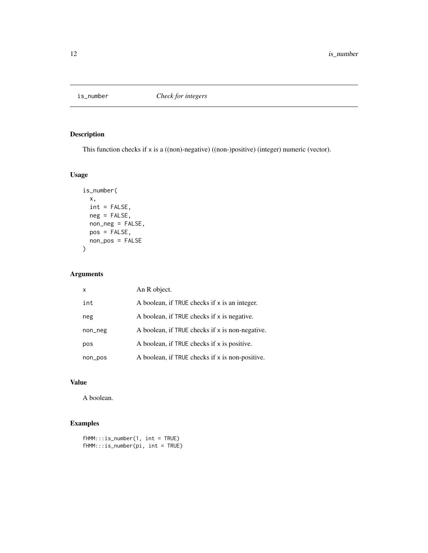<span id="page-11-0"></span>

This function checks if x is a ((non)-negative) ((non-)positive) (integer) numeric (vector).

# Usage

```
is_number(
 x,
 int = FALSE,
 neg = FALSE,
 non_neg = FALSE,
 pos = FALSE,
 non_pos = FALSE
)
```
# Arguments

| x       | An R object.                                    |
|---------|-------------------------------------------------|
| int     | A boolean, if TRUE checks if x is an integer.   |
| neg     | A boolean, if TRUE checks if x is negative.     |
| non_neg | A boolean, if TRUE checks if x is non-negative. |
| pos     | A boolean, if TRUE checks if x is positive.     |
| non_pos | A boolean, if TRUE checks if x is non-positive. |

# Value

A boolean.

# Examples

```
fHMM:::is_number(1, int = TRUE)
fHMM:::is_number(pi, int = TRUE)
```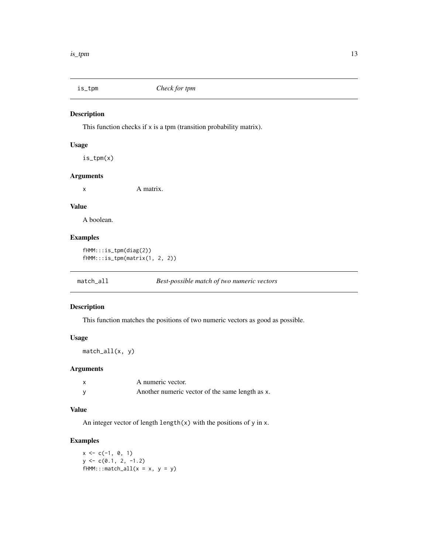<span id="page-12-0"></span>

This function checks if x is a tpm (transition probability matrix).

# Usage

is\_tpm(x)

# Arguments

x A matrix.

# Value

A boolean.

# Examples

```
fHMM:::is_tpm(diag(2))
fHMM:::is_tpm(matrix(1, 2, 2))
```

| $match$ _all | <b>Best-possible match of two numeric vectors</b> |  |
|--------------|---------------------------------------------------|--|
|              |                                                   |  |

# Description

This function matches the positions of two numeric vectors as good as possible.

# Usage

match\_all(x, y)

# Arguments

| A numeric vector.                               |
|-------------------------------------------------|
| Another numeric vector of the same length as x. |

# Value

An integer vector of length length $(x)$  with the positions of y in x.

# Examples

 $x \leq -c(-1, 0, 1)$  $y \leftarrow c(0.1, 2, -1.2)$  $fHMM::match\_all(x = x, y = y)$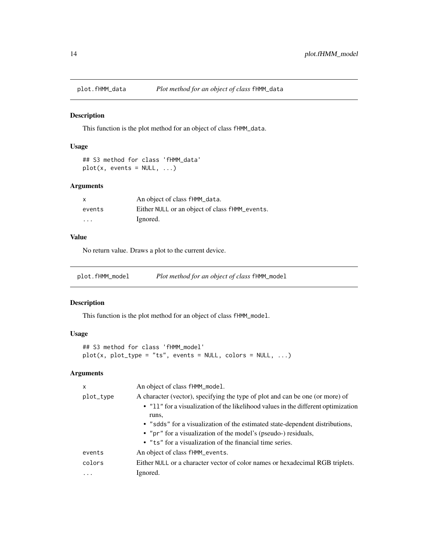<span id="page-13-0"></span>

This function is the plot method for an object of class fHMM\_data.

# Usage

```
## S3 method for class 'fHMM_data'
plot(x, events = NULL, ...)
```
# Arguments

| $\mathsf{x}$            | An object of class fHMM_data.                  |
|-------------------------|------------------------------------------------|
| events                  | Either NULL or an object of class fHMM_events. |
| $\cdot$ $\cdot$ $\cdot$ | Ignored.                                       |

# Value

No return value. Draws a plot to the current device.

plot.fHMM\_model *Plot method for an object of class* fHMM\_model

# Description

This function is the plot method for an object of class fHMM\_model.

# Usage

```
## S3 method for class 'fHMM_model'
plot(x, plot_type = "ts", events = NULL, colors = NULL, ...)
```
# Arguments

| X         | An object of class fHMM_model.                                                             |
|-----------|--------------------------------------------------------------------------------------------|
| plot_type | A character (vector), specifying the type of plot and can be one (or more) of              |
|           | • "11" for a visualization of the likelihood values in the different optimization<br>runs, |
|           | • "sdds" for a visualization of the estimated state-dependent distributions,               |
|           | • "pr" for a visualization of the model's (pseudo-) residuals,                             |
|           | • "ts" for a visualization of the financial time series.                                   |
| events    | An object of class fHMM_events.                                                            |
| colors    | Either NULL or a character vector of color names or hexadecimal RGB triplets.              |
| $\cdots$  | Ignored.                                                                                   |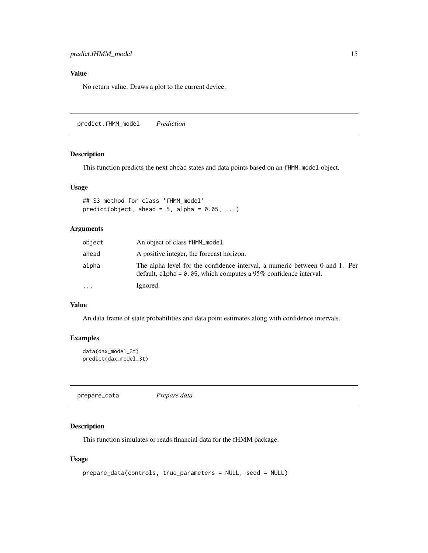# <span id="page-14-0"></span>Value

No return value. Draws a plot to the current device.

predict.fHMM\_model *Prediction*

# Description

This function predicts the next ahead states and data points based on an fHMM\_model object.

# Usage

```
## S3 method for class 'fHMM_model'
predict(object, ahead = 5, alpha = 0.05, ...)
```
# Arguments

| object   | An object of class fHMM_model.                                                                                                                     |
|----------|----------------------------------------------------------------------------------------------------------------------------------------------------|
| ahead    | A positive integer, the forecast horizon.                                                                                                          |
| alpha    | The alpha level for the confidence interval, a numeric between 0 and 1. Per<br>default, alpha = $0.05$ , which computes a 95% confidence interval. |
| $\cdots$ | Ignored.                                                                                                                                           |

# Value

An data frame of state probabilities and data point estimates along with confidence intervals.

# Examples

```
data(dax_model_3t)
predict(dax_model_3t)
```
prepare\_data *Prepare data*

# Description

This function simulates or reads financial data for the fHMM package.

# Usage

```
prepare_data(controls, true_parameters = NULL, seed = NULL)
```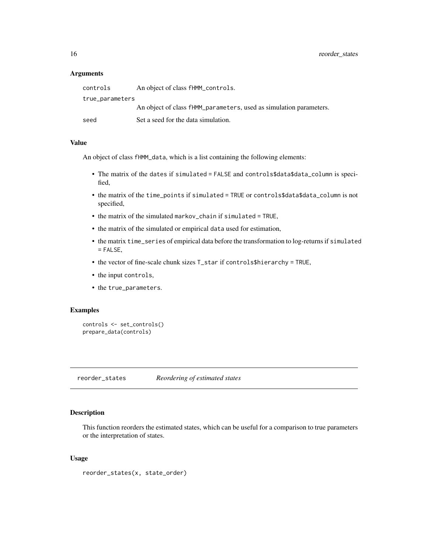#### <span id="page-15-0"></span>**Arguments**

| controls        | An object of class fHMM_controls.                                  |
|-----------------|--------------------------------------------------------------------|
| true_parameters |                                                                    |
|                 | An object of class fHMM_parameters, used as simulation parameters. |
| seed            | Set a seed for the data simulation.                                |

# Value

An object of class fHMM\_data, which is a list containing the following elements:

- The matrix of the dates if simulated = FALSE and controls\$data\$data\_column is specified,
- the matrix of the time\_points if simulated = TRUE or controls\$data\$data\_column is not specified,
- the matrix of the simulated markov\_chain if simulated = TRUE,
- the matrix of the simulated or empirical data used for estimation,
- the matrix time\_series of empirical data before the transformation to log-returns if simulated = FALSE,
- the vector of fine-scale chunk sizes T\_star if controls\$hierarchy = TRUE,
- the input controls,
- the true\_parameters.

# Examples

```
controls <- set_controls()
prepare_data(controls)
```
reorder\_states *Reordering of estimated states*

#### Description

This function reorders the estimated states, which can be useful for a comparison to true parameters or the interpretation of states.

# Usage

```
reorder_states(x, state_order)
```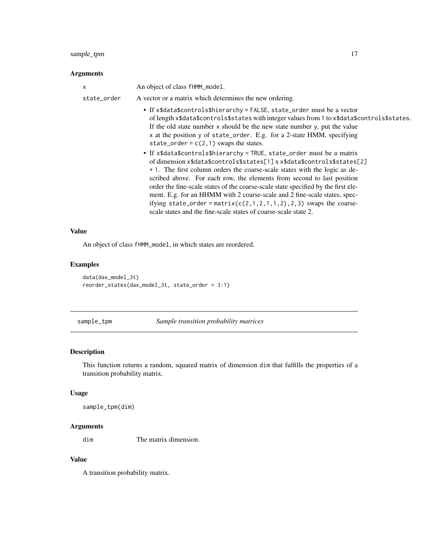# <span id="page-16-0"></span>sample\_tpm 17

# Arguments

| $\times$    | An object of class fHMM_model.                                                                                                                                                                                                                                                                                                                                                                                                                                                                                                                                                                                                                                                                                                                                                                                                                                                                                                       |
|-------------|--------------------------------------------------------------------------------------------------------------------------------------------------------------------------------------------------------------------------------------------------------------------------------------------------------------------------------------------------------------------------------------------------------------------------------------------------------------------------------------------------------------------------------------------------------------------------------------------------------------------------------------------------------------------------------------------------------------------------------------------------------------------------------------------------------------------------------------------------------------------------------------------------------------------------------------|
| state_order | A vector or a matrix which determines the new ordering.                                                                                                                                                                                                                                                                                                                                                                                                                                                                                                                                                                                                                                                                                                                                                                                                                                                                              |
|             | • If x\$data\$controls\$hierarchy = FALSE, state_order must be a vector<br>of length x\$data\$controls\$states with integer values from 1 to x\$data\$controls\$states.<br>If the old state number x should be the new state number y, put the value<br>x at the position y of state_order. E.g. for a 2-state HMM, specifying<br>state_order = $c(2,1)$ swaps the states.<br>• If x\$data\$controls\$hierarchy = TRUE, state_order must be a matrix<br>of dimension x\$data\$controls\$states[1] x x\$data\$controls\$states[2]<br>+ 1. The first column orders the coarse-scale states with the logic as de-<br>scribed above. For each row, the elements from second to last position<br>order the fine-scale states of the coarse-scale state specified by the first ele-<br>ment. E.g. for an HHMM with 2 coarse-scale and 2 fine-scale states, spec-<br>ifying state_order = matrix( $c(2,1,2,1,1,2)$ , 2,3) swaps the coarse- |
|             | scale states and the fine-scale states of coarse-scale state 2.                                                                                                                                                                                                                                                                                                                                                                                                                                                                                                                                                                                                                                                                                                                                                                                                                                                                      |

# Value

An object of class fHMM\_model, in which states are reordered.

# Examples

```
data(dax_model_3t)
reorder_states(dax_model_3t, state_order = 3:1)
```
sample\_tpm *Sample transition probability matrices*

# Description

This function returns a random, squared matrix of dimension dim that fulfills the properties of a transition probability matrix.

# Usage

```
sample_tpm(dim)
```
# Arguments

dim The matrix dimension.

# Value

A transition probability matrix.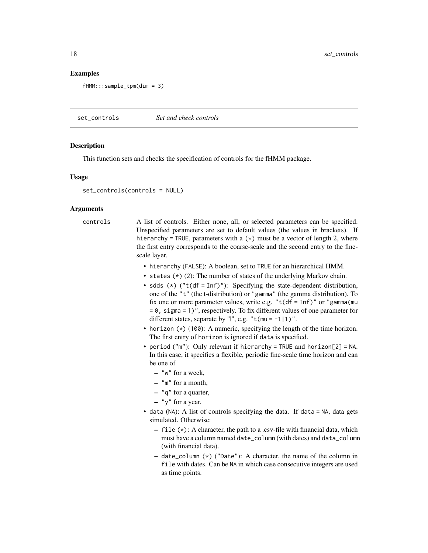# <span id="page-17-0"></span>Examples

fHMM:::sample\_tpm(dim = 3)

set\_controls *Set and check controls*

#### Description

This function sets and checks the specification of controls for the fHMM package.

#### Usage

```
set_controls(controls = NULL)
```
# Arguments

controls A list of controls. Either none, all, or selected parameters can be specified. Unspecified parameters are set to default values (the values in brackets). If hierarchy = TRUE, parameters with a  $(*)$  must be a vector of length 2, where the first entry corresponds to the coarse-scale and the second entry to the finescale layer.

- hierarchy (FALSE): A boolean, set to TRUE for an hierarchical HMM.
- states (\*) (2): The number of states of the underlying Markov chain.
- sdds  $(*)$  ("t(df = Inf)"): Specifying the state-dependent distribution, one of the "t" (the t-distribution) or "gamma" (the gamma distribution). To fix one or more parameter values, write e.g. " $t(df = Inf)'$  or "gamma(mu  $= 0$ , sigma = 1)", respectively. To fix different values of one parameter for different states, separate by "|", e.g. " $t$ (mu = -1|1)".
- horizon (\*) (100): A numeric, specifying the length of the time horizon. The first entry of horizon is ignored if data is specified.
- period ("m"): Only relevant if hierarchy = TRUE and horizon[2] = NA. In this case, it specifies a flexible, periodic fine-scale time horizon and can be one of
	- "w" for a week,
	- "m" for a month,
	- "q" for a quarter,
	- $-$  "y" for a year.
- data (NA): A list of controls specifying the data. If data = NA, data gets simulated. Otherwise:
	- file (\*): A character, the path to a .csv-file with financial data, which must have a column named date\_column (with dates) and data\_column (with financial data).
	- date\_column (\*) ("Date"): A character, the name of the column in file with dates. Can be NA in which case consecutive integers are used as time points.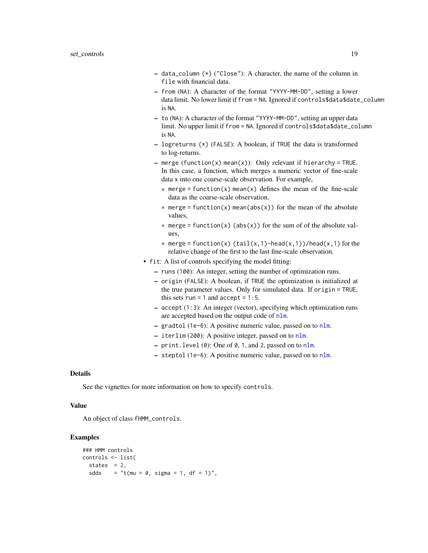- <span id="page-18-0"></span> $-$  data\_column  $(*)$  ("Close"): A character, the name of the column in file with financial data.
- from (NA): A character of the format "YYYY-MM-DD", setting a lower data limit. No lower limit if from = NA. Ignored if controls\$data\$date\_column is NA.
- to (NA): A character of the format "YYYY-MM-DD", setting an upper data limit. No upper limit if from = NA. Ignored if controls\$data\$date\_column is NA.
- $-$  logreturns (\*) (FALSE): A boolean, if TRUE the data is transformed to log-returns.
- $-$  merge (function(x) mean(x)): Only relevant if hierarchy = TRUE. In this case, a function, which merges a numeric vector of fine-scale data x into one coarse-scale observation. For example,
	- $*$  merge = function(x) mean(x) defines the mean of the fine-scale data as the coarse-scale observation,
	- $*$  merge = function(x) mean(abs(x)) for the mean of the absolute values,
	- $*$  merge = function(x) (abs(x)) for the sum of of the absolute values,
	- $*$  merge = function(x) (tail(x,1)-head(x,1))/head(x,1) for the relative change of the first to the last fine-scale observation.
- fit: A list of controls specifying the model fitting:
	- runs (100): An integer, setting the number of optimization runs.
	- origin (FALSE): A boolean, if TRUE the optimization is initialized at the true parameter values. Only for simulated data. If origin = TRUE, this sets run = 1 and  $accept = 1:5$ .
	- accept (1:3): An integer (vector), specifying which optimization runs are accepted based on the output code of [nlm](#page-0-0).
	- gradtol (1e-6): A positive numeric value, passed on to [nlm](#page-0-0).
	- iterlim (200): A positive integer, passed on to [nlm](#page-0-0).
	- print.level (0): One of 0, 1, and 2, passed on to [nlm](#page-0-0).
	- steptol (1e-6): A positive numeric value, passed on to [nlm](#page-0-0).

# Details

See the vignettes for more information on how to specify controls.

# Value

An object of class fHMM\_controls.

# Examples

```
### HMM controls
controls <- list(
 states = 2,
 sdds = "t(mu = 0, sigma = 1, df = 1)",
```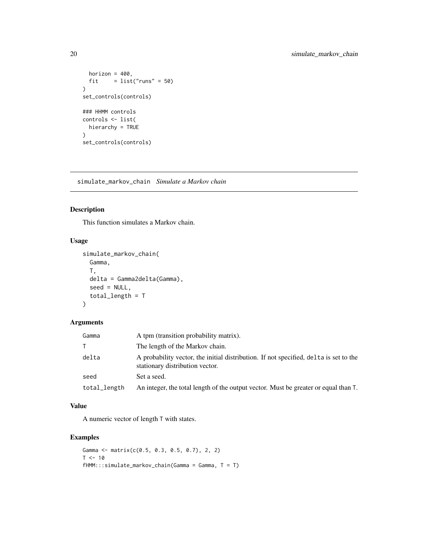```
horizon = 400,
 fit = list("runs" = 50)\mathcal{L}set_controls(controls)
### HHMM controls
controls <- list(
 hierarchy = TRUE
\lambdaset_controls(controls)
```
simulate\_markov\_chain *Simulate a Markov chain*

# Description

This function simulates a Markov chain.

# Usage

```
simulate_markov_chain(
 Gamma,
  T,
 delta = Gamma2delta(Gamma),
  seed = NULL,
  total_length = T
\mathcal{L}
```
# Arguments

| Gamma        | A tpm (transition probability matrix).                                                                                   |
|--------------|--------------------------------------------------------------------------------------------------------------------------|
|              | The length of the Markov chain.                                                                                          |
| delta        | A probability vector, the initial distribution. If not specified, delta is set to the<br>stationary distribution vector. |
| seed         | Set a seed.                                                                                                              |
| total_length | An integer, the total length of the output vector. Must be greater or equal than T.                                      |

# Value

A numeric vector of length T with states.

# Examples

```
Gamma <- matrix(c(0.5, 0.3, 0.5, 0.7), 2, 2)
T < -10fHMM:::simulate\_markov\_chain(Gamma = Gamma, T = T)
```
<span id="page-19-0"></span>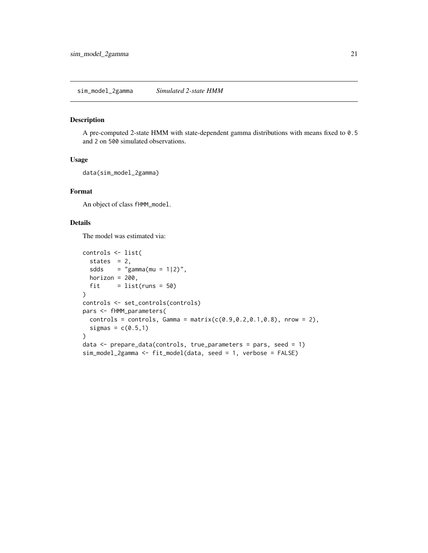<span id="page-20-0"></span>A pre-computed 2-state HMM with state-dependent gamma distributions with means fixed to 0.5 and 2 on 500 simulated observations.

# Usage

```
data(sim_model_2gamma)
```
# Format

An object of class fHMM\_model.

# Details

The model was estimated via:

```
controls <- list(
  states = 2,
 sdds = "gamma(m = 1|2)",
 horizon = 200,
 fit = list(runs = 50))
controls <- set_controls(controls)
pars <- fHMM_parameters(
 controls = controls, Gamma = matrix(c(0.9, 0.2, 0.1, 0.8)), nrow = 2),
  sigmas = c(0.5,1))
data <- prepare_data(controls, true_parameters = pars, seed = 1)
sim_model_2gamma <- fit_model(data, seed = 1, verbose = FALSE)
```